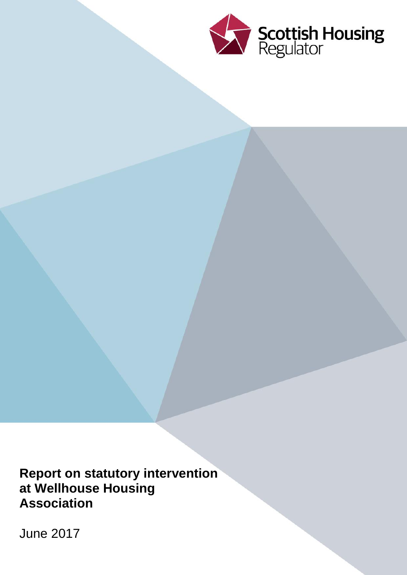

**Report on statutory intervention at Wellhouse Housing Association**

June 2017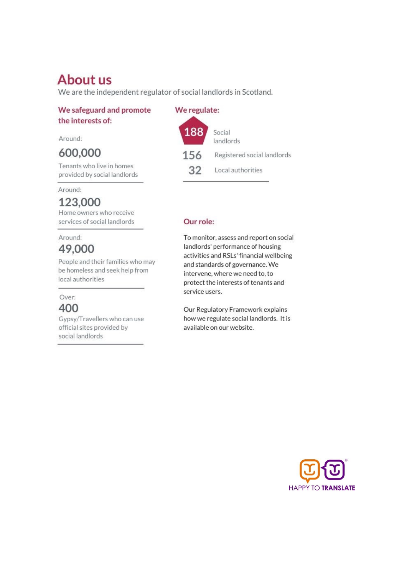# **About us**

We are the independent regulator of social landlords in Scotland.

### We safeguard and promote the interests of:

Around:

### 600,000

Tenants who live in homes provided by social landlords

Around:

### 123,000

Home owners who receive services of social landlords

### Around: 49,000

People and their families who may be homeless and seek help from local authorities

### Over: 400

Gypsy/Travellers who can use official sites provided by social landlords

#### We regulate:



### Our role:

To monitor, assess and report on social landlords' performance of housing activities and RSLs' financial wellbeing and standards of governance. We intervene, where we need to, to protect the interests of tenants and service users.

Our Regulatory Framework explains how we regulate social landlords. It is available on our website.

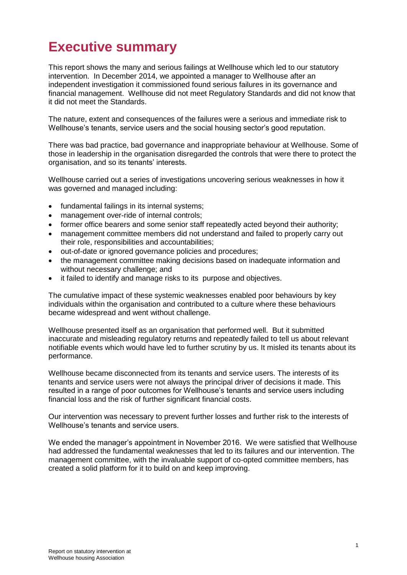### **Executive summary**

This report shows the many and serious failings at Wellhouse which led to our statutory intervention. In December 2014, we appointed a manager to Wellhouse after an independent investigation it commissioned found serious failures in its governance and financial management. Wellhouse did not meet Regulatory Standards and did not know that it did not meet the Standards.

The nature, extent and consequences of the failures were a serious and immediate risk to Wellhouse's tenants, service users and the social housing sector's good reputation.

There was bad practice, bad governance and inappropriate behaviour at Wellhouse. Some of those in leadership in the organisation disregarded the controls that were there to protect the organisation, and so its tenants' interests.

Wellhouse carried out a series of investigations uncovering serious weaknesses in how it was governed and managed including:

- fundamental failings in its internal systems;
- management over-ride of internal controls;
- former office bearers and some senior staff repeatedly acted beyond their authority;
- management committee members did not understand and failed to properly carry out their role, responsibilities and accountabilities;
- out-of-date or ignored governance policies and procedures;
- the management committee making decisions based on inadequate information and without necessary challenge; and
- it failed to identify and manage risks to its purpose and objectives.

The cumulative impact of these systemic weaknesses enabled poor behaviours by key individuals within the organisation and contributed to a culture where these behaviours became widespread and went without challenge.

Wellhouse presented itself as an organisation that performed well. But it submitted inaccurate and misleading regulatory returns and repeatedly failed to tell us about relevant notifiable events which would have led to further scrutiny by us. It misled its tenants about its performance.

Wellhouse became disconnected from its tenants and service users. The interests of its tenants and service users were not always the principal driver of decisions it made. This resulted in a range of poor outcomes for Wellhouse's tenants and service users including financial loss and the risk of further significant financial costs.

Our intervention was necessary to prevent further losses and further risk to the interests of Wellhouse's tenants and service users.

We ended the manager's appointment in November 2016. We were satisfied that Wellhouse had addressed the fundamental weaknesses that led to its failures and our intervention. The management committee, with the invaluable support of co-opted committee members, has created a solid platform for it to build on and keep improving.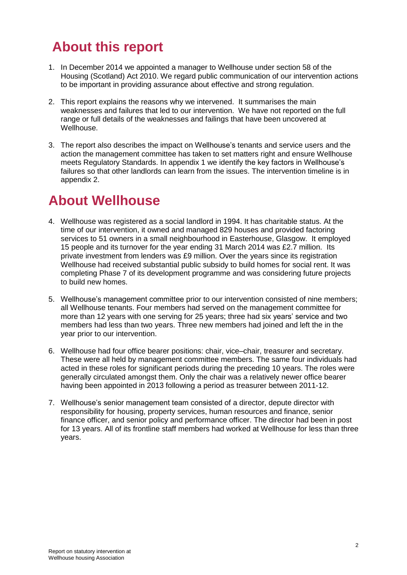### **About this report**

- 1. In December 2014 we appointed a manager to Wellhouse under section 58 of the Housing (Scotland) Act 2010. We regard public communication of our intervention actions to be important in providing assurance about effective and strong regulation.
- 2. This report explains the reasons why we intervened. It summarises the main weaknesses and failures that led to our intervention. We have not reported on the full range or full details of the weaknesses and failings that have been uncovered at Wellhouse.
- 3. The report also describes the impact on Wellhouse's tenants and service users and the action the management committee has taken to set matters right and ensure Wellhouse meets Regulatory Standards. In appendix 1 we identify the key factors in Wellhouse's failures so that other landlords can learn from the issues. The intervention timeline is in appendix 2.

### **About Wellhouse**

- 4. Wellhouse was registered as a social landlord in 1994. It has charitable status. At the time of our intervention, it owned and managed 829 houses and provided factoring services to 51 owners in a small neighbourhood in Easterhouse, Glasgow. It employed 15 people and its turnover for the year ending 31 March 2014 was £2.7 million. Its private investment from lenders was £9 million. Over the years since its registration Wellhouse had received substantial public subsidy to build homes for social rent. It was completing Phase 7 of its development programme and was considering future projects to build new homes.
- 5. Wellhouse's management committee prior to our intervention consisted of nine members; all Wellhouse tenants. Four members had served on the management committee for more than 12 years with one serving for 25 years; three had six years' service and two members had less than two years. Three new members had joined and left the in the year prior to our intervention.
- 6. Wellhouse had four office bearer positions: chair, vice–chair, treasurer and secretary. These were all held by management committee members. The same four individuals had acted in these roles for significant periods during the preceding 10 years. The roles were generally circulated amongst them. Only the chair was a relatively newer office bearer having been appointed in 2013 following a period as treasurer between 2011-12.
- 7. Wellhouse's senior management team consisted of a director, depute director with responsibility for housing, property services, human resources and finance, senior finance officer, and senior policy and performance officer. The director had been in post for 13 years. All of its frontline staff members had worked at Wellhouse for less than three years.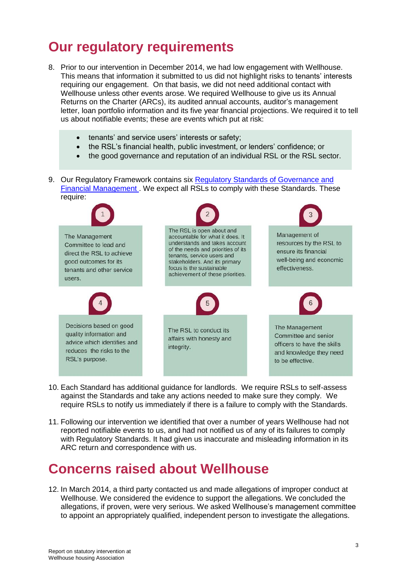### **Our regulatory requirements**

- 8. Prior to our intervention in December 2014, we had low engagement with Wellhouse. This means that information it submitted to us did not highlight risks to tenants' interests requiring our engagement. On that basis, we did not need additional contact with Wellhouse unless other events arose. We required Wellhouse to give us its Annual Returns on the Charter (ARCs), its audited annual accounts, auditor's management letter, loan portfolio information and its five year financial projections. We required it to tell us about notifiable events; these are events which put at risk:
	- tenants' and service users' interests or safety;
	- the RSL's financial health, public investment, or lenders' confidence; or
	- the good governance and reputation of an individual RSL or the RSL sector.
- 9. Our Regulatory Framework contains six [Regulatory Standards of Governance and](https://www.scottishhousingregulator.gov.uk/sites/default/files/publications/SHR%20RF%20Chapter%205_web.pdf) [Financial Management .](https://www.scottishhousingregulator.gov.uk/sites/default/files/publications/SHR%20RF%20Chapter%205_web.pdf) We expect all RSLs to comply with these Standards. These require:



- 10. Each Standard has additional guidance for landlords. We require RSLs to self-assess against the Standards and take any actions needed to make sure they comply. We require RSLs to notify us immediately if there is a failure to comply with the Standards.
- 11. Following our intervention we identified that over a number of years Wellhouse had not reported notifiable events to us, and had not notified us of any of its failures to comply with Regulatory Standards. It had given us inaccurate and misleading information in its ARC return and correspondence with us.

### **Concerns raised about Wellhouse**

12. In March 2014, a third party contacted us and made allegations of improper conduct at Wellhouse. We considered the evidence to support the allegations. We concluded the allegations, if proven, were very serious. We asked Wellhouse's management committee to appoint an appropriately qualified, independent person to investigate the allegations.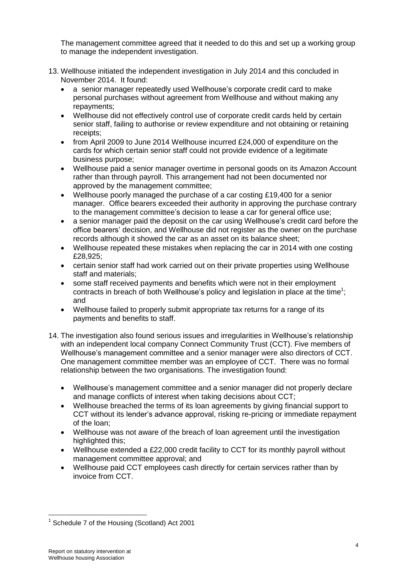The management committee agreed that it needed to do this and set up a working group to manage the independent investigation.

- 13. Wellhouse initiated the independent investigation in July 2014 and this concluded in November 2014. It found:
	- a senior manager repeatedly used Wellhouse's corporate credit card to make personal purchases without agreement from Wellhouse and without making any repayments;
	- Wellhouse did not effectively control use of corporate credit cards held by certain senior staff, failing to authorise or review expenditure and not obtaining or retaining receipts;
	- from April 2009 to June 2014 Wellhouse incurred £24,000 of expenditure on the cards for which certain senior staff could not provide evidence of a legitimate business purpose;
	- Wellhouse paid a senior manager overtime in personal goods on its Amazon Account rather than through payroll. This arrangement had not been documented nor approved by the management committee;
	- Wellhouse poorly managed the purchase of a car costing £19,400 for a senior manager. Office bearers exceeded their authority in approving the purchase contrary to the management committee's decision to lease a car for general office use;
	- a senior manager paid the deposit on the car using Wellhouse's credit card before the office bearers' decision, and Wellhouse did not register as the owner on the purchase records although it showed the car as an asset on its balance sheet;
	- Wellhouse repeated these mistakes when replacing the car in 2014 with one costing £28,925;
	- certain senior staff had work carried out on their private properties using Wellhouse staff and materials;
	- some staff received payments and benefits which were not in their employment contracts in breach of both Wellhouse's policy and legislation in place at the time<sup>1</sup>; and
	- Wellhouse failed to properly submit appropriate tax returns for a range of its payments and benefits to staff.
- 14. The investigation also found serious issues and irregularities in Wellhouse's relationship with an independent local company Connect Community Trust (CCT). Five members of Wellhouse's management committee and a senior manager were also directors of CCT. One management committee member was an employee of CCT. There was no formal relationship between the two organisations. The investigation found:
	- Wellhouse's management committee and a senior manager did not properly declare and manage conflicts of interest when taking decisions about CCT;
	- Wellhouse breached the terms of its loan agreements by giving financial support to CCT without its lender's advance approval, risking re-pricing or immediate repayment of the loan;
	- Wellhouse was not aware of the breach of loan agreement until the investigation highlighted this;
	- Wellhouse extended a £22,000 credit facility to CCT for its monthly payroll without management committee approval; and
	- Wellhouse paid CCT employees cash directly for certain services rather than by invoice from CCT.

 $\overline{a}$ <sup>1</sup> Schedule 7 of the Housing (Scotland) Act 2001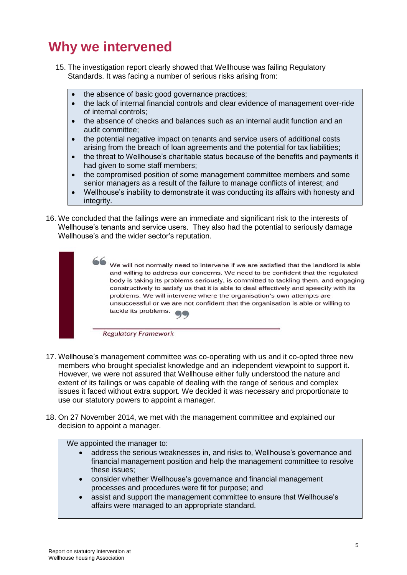### **Why we intervened**

- 15. The investigation report clearly showed that Wellhouse was failing Regulatory Standards. It was facing a number of serious risks arising from:
	- the absence of basic good governance practices;
	- the lack of internal financial controls and clear evidence of management over-ride of internal controls;
	- the absence of checks and balances such as an internal audit function and an audit committee;
	- the potential negative impact on tenants and service users of additional costs arising from the breach of loan agreements and the potential for tax liabilities;
	- the threat to Wellhouse's charitable status because of the benefits and payments it had given to some staff members;
	- the compromised position of some management committee members and some senior managers as a result of the failure to manage conflicts of interest; and
	- Wellhouse's inability to demonstrate it was conducting its affairs with honesty and integrity.
- 16. We concluded that the failings were an immediate and significant risk to the interests of Wellhouse's tenants and service users. They also had the potential to seriously damage Wellhouse's and the wider sector's reputation.

We will not normally need to intervene if we are satisfied that the landlord is able and willing to address our concerns. We need to be confident that the regulated body is taking its problems seriously, is committed to tackling them, and engaging constructively to satisfy us that it is able to deal effectively and speedily with its problems. We will intervene where the organisation's own attempts are unsuccessful or we are not confident that the organisation is able or willing to tackle its problems.  $QC$ 

**Regulatory Framework** 

- 17. Wellhouse's management committee was co-operating with us and it co-opted three new members who brought specialist knowledge and an independent viewpoint to support it. However, we were not assured that Wellhouse either fully understood the nature and extent of its failings or was capable of dealing with the range of serious and complex issues it faced without extra support. We decided it was necessary and proportionate to use our statutory powers to appoint a manager.
- 18. On 27 November 2014, we met with the management committee and explained our decision to appoint a manager.

We appointed the manager to:

- address the serious weaknesses in, and risks to, Wellhouse's governance and financial management position and help the management committee to resolve these issues;
- consider whether Wellhouse's governance and financial management processes and procedures were fit for purpose; and
- assist and support the management committee to ensure that Wellhouse's affairs were managed to an appropriate standard.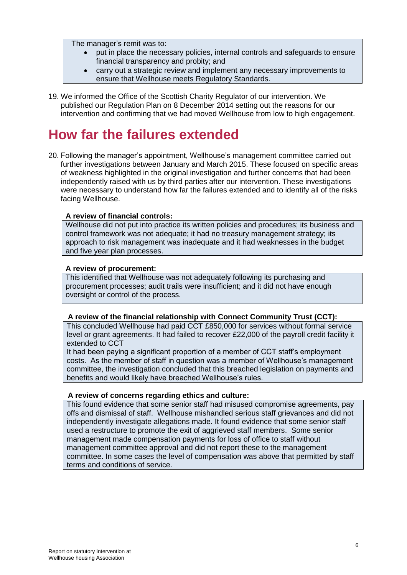The manager's remit was to:

- put in place the necessary policies, internal controls and safeguards to ensure financial transparency and probity; and
- carry out a strategic review and implement any necessary improvements to ensure that Wellhouse meets Regulatory Standards.
- 19. We informed the Office of the Scottish Charity Regulator of our intervention. We published our Regulation Plan on 8 December 2014 setting out the reasons for our intervention and confirming that we had moved Wellhouse from low to high engagement.

### **How far the failures extended**

20. Following the manager's appointment, Wellhouse's management committee carried out further investigations between January and March 2015. These focused on specific areas of weakness highlighted in the original investigation and further concerns that had been independently raised with us by third parties after our intervention. These investigations were necessary to understand how far the failures extended and to identify all of the risks facing Wellhouse.

### **A review of financial controls:**

Wellhouse did not put into practice its written policies and procedures; its business and control framework was not adequate; it had no treasury management strategy; its approach to risk management was inadequate and it had weaknesses in the budget and five year plan processes.

### **A review of procurement:**

This identified that Wellhouse was not adequately following its purchasing and procurement processes; audit trails were insufficient; and it did not have enough oversight or control of the process.

### **A review of the financial relationship with Connect Community Trust (CCT):**

This concluded Wellhouse had paid CCT £850,000 for services without formal service level or grant agreements. It had failed to recover £22,000 of the payroll credit facility it extended to CCT

It had been paying a significant proportion of a member of CCT staff's employment costs. As the member of staff in question was a member of Wellhouse's management committee, the investigation concluded that this breached legislation on payments and benefits and would likely have breached Wellhouse's rules.

### **A review of concerns regarding ethics and culture:**

This found evidence that some senior staff had misused compromise agreements, pay offs and dismissal of staff. Wellhouse mishandled serious staff grievances and did not independently investigate allegations made. It found evidence that some senior staff used a restructure to promote the exit of aggrieved staff members. Some senior management made compensation payments for loss of office to staff without management committee approval and did not report these to the management committee. In some cases the level of compensation was above that permitted by staff terms and conditions of service.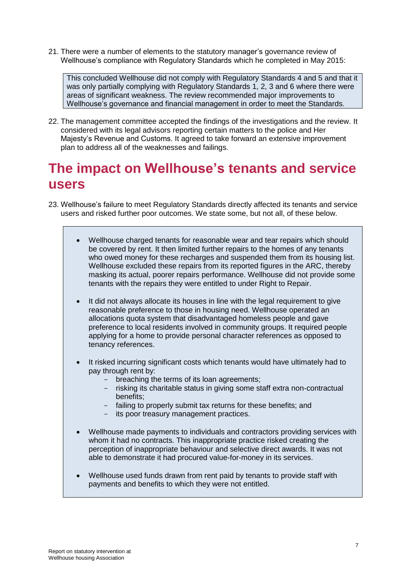21. There were a number of elements to the statutory manager's governance review of Wellhouse's compliance with Regulatory Standards which he completed in May 2015:

This concluded Wellhouse did not comply with Regulatory Standards 4 and 5 and that it was only partially complying with Regulatory Standards 1, 2, 3 and 6 where there were areas of significant weakness. The review recommended major improvements to Wellhouse's governance and financial management in order to meet the Standards.

22. The management committee accepted the findings of the investigations and the review. It considered with its legal advisors reporting certain matters to the police and Her Majesty's Revenue and Customs. It agreed to take forward an extensive improvement plan to address all of the weaknesses and failings.

### **The impact on Wellhouse's tenants and service users**

- 23. Wellhouse's failure to meet Regulatory Standards directly affected its tenants and service users and risked further poor outcomes. We state some, but not all, of these below.
	- Wellhouse charged tenants for reasonable wear and tear repairs which should be covered by rent. It then limited further repairs to the homes of any tenants who owed money for these recharges and suspended them from its housing list. Wellhouse excluded these repairs from its reported figures in the ARC, thereby masking its actual, poorer repairs performance. Wellhouse did not provide some tenants with the repairs they were entitled to under Right to Repair.
	- It did not always allocate its houses in line with the legal requirement to give reasonable preference to those in housing need. Wellhouse operated an allocations quota system that disadvantaged homeless people and gave preference to local residents involved in community groups. It required people applying for a home to provide personal character references as opposed to tenancy references.
	- It risked incurring significant costs which tenants would have ultimately had to pay through rent by:
		- breaching the terms of its loan agreements;
		- risking its charitable status in giving some staff extra non-contractual benefits;
		- failing to properly submit tax returns for these benefits; and
		- its poor treasury management practices.
	- Wellhouse made payments to individuals and contractors providing services with whom it had no contracts. This inappropriate practice risked creating the perception of inappropriate behaviour and selective direct awards. It was not able to demonstrate it had procured value-for-money in its services.
	- Wellhouse used funds drawn from rent paid by tenants to provide staff with payments and benefits to which they were not entitled.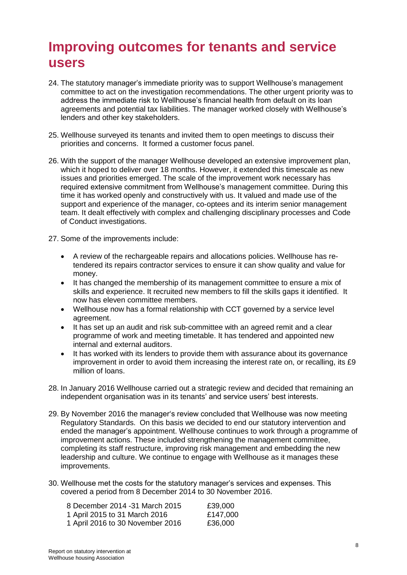### **Improving outcomes for tenants and service users**

- 24. The statutory manager's immediate priority was to support Wellhouse's management committee to act on the investigation recommendations. The other urgent priority was to address the immediate risk to Wellhouse's financial health from default on its loan agreements and potential tax liabilities. The manager worked closely with Wellhouse's lenders and other key stakeholders.
- 25. Wellhouse surveyed its tenants and invited them to open meetings to discuss their priorities and concerns. It formed a customer focus panel.
- 26. With the support of the manager Wellhouse developed an extensive improvement plan, which it hoped to deliver over 18 months. However, it extended this timescale as new issues and priorities emerged. The scale of the improvement work necessary has required extensive commitment from Wellhouse's management committee. During this time it has worked openly and constructively with us. It valued and made use of the support and experience of the manager, co-optees and its interim senior management team. It dealt effectively with complex and challenging disciplinary processes and Code of Conduct investigations.
- 27. Some of the improvements include:
	- A review of the rechargeable repairs and allocations policies. Wellhouse has retendered its repairs contractor services to ensure it can show quality and value for money.
	- It has changed the membership of its management committee to ensure a mix of skills and experience. It recruited new members to fill the skills gaps it identified. It now has eleven committee members.
	- Wellhouse now has a formal relationship with CCT governed by a service level agreement.
	- It has set up an audit and risk sub-committee with an agreed remit and a clear programme of work and meeting timetable. It has tendered and appointed new internal and external auditors.
	- It has worked with its lenders to provide them with assurance about its governance improvement in order to avoid them increasing the interest rate on, or recalling, its £9 million of loans.
- 28. In January 2016 Wellhouse carried out a strategic review and decided that remaining an independent organisation was in its tenants' and service users' best interests.
- 29. By November 2016 the manager's review concluded that Wellhouse was now meeting Regulatory Standards. On this basis we decided to end our statutory intervention and ended the manager's appointment. Wellhouse continues to work through a programme of improvement actions. These included strengthening the management committee, completing its staff restructure, improving risk management and embedding the new leadership and culture. We continue to engage with Wellhouse as it manages these improvements.
- 30. Wellhouse met the costs for the statutory manager's services and expenses. This covered a period from 8 December 2014 to 30 November 2016.

| 8 December 2014 -31 March 2015   | £39,000  |
|----------------------------------|----------|
| 1 April 2015 to 31 March 2016    | £147,000 |
| 1 April 2016 to 30 November 2016 | £36,000  |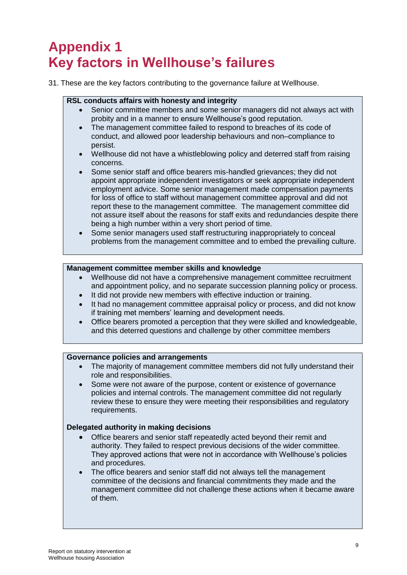# **Appendix 1 Key factors in Wellhouse's failures**

31. These are the key factors contributing to the governance failure at Wellhouse.

### **RSL conducts affairs with honesty and integrity**

- Senior committee members and some senior managers did not always act with probity and in a manner to ensure Wellhouse's good reputation.
- The management committee failed to respond to breaches of its code of conduct, and allowed poor leadership behaviours and non–compliance to persist.
- Wellhouse did not have a whistleblowing policy and deterred staff from raising concerns.
- Some senior staff and office bearers mis-handled grievances; they did not appoint appropriate independent investigators or seek appropriate independent employment advice. Some senior management made compensation payments for loss of office to staff without management committee approval and did not report these to the management committee. The management committee did not assure itself about the reasons for staff exits and redundancies despite there being a high number within a very short period of time.
- Some senior managers used staff restructuring inappropriately to conceal problems from the management committee and to embed the prevailing culture.

### **Management committee member skills and knowledge**

- Wellhouse did not have a comprehensive management committee recruitment and appointment policy, and no separate succession planning policy or process.
- It did not provide new members with effective induction or training.
- It had no management committee appraisal policy or process, and did not know if training met members' learning and development needs.
- Office bearers promoted a perception that they were skilled and knowledgeable, and this deterred questions and challenge by other committee members

### **Governance policies and arrangements**

- The majority of management committee members did not fully understand their role and responsibilities.
- Some were not aware of the purpose, content or existence of governance policies and internal controls. The management committee did not regularly review these to ensure they were meeting their responsibilities and regulatory requirements.

### **Delegated authority in making decisions**

- Office bearers and senior staff repeatedly acted beyond their remit and authority. They failed to respect previous decisions of the wider committee. They approved actions that were not in accordance with Wellhouse's policies and procedures.
- The office bearers and senior staff did not always tell the management committee of the decisions and financial commitments they made and the management committee did not challenge these actions when it became aware of them.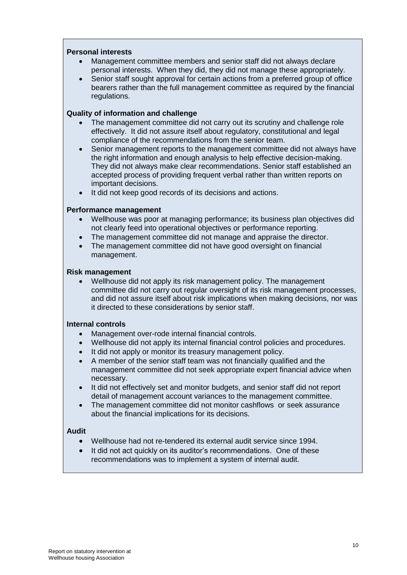#### **Personal interests**

- Management committee members and senior staff did not always declare personal interests. When they did, they did not manage these appropriately.
- Senior staff sought approval for certain actions from a preferred group of office bearers rather than the full management committee as required by the financial regulations.

#### **Quality of information and challenge**

- The management committee did not carry out its scrutiny and challenge role effectively. It did not assure itself about regulatory, constitutional and legal compliance of the recommendations from the senior team.
- Senior management reports to the management committee did not always have the right information and enough analysis to help effective decision-making. They did not always make clear recommendations. Senior staff established an accepted process of providing frequent verbal rather than written reports on important decisions.
- It did not keep good records of its decisions and actions.

#### **Performance management**

- Wellhouse was poor at managing performance; its business plan objectives did not clearly feed into operational objectives or performance reporting.
- The management committee did not manage and appraise the director.
- The management committee did not have good oversight on financial management.

#### **Risk management**

 Wellhouse did not apply its risk management policy. The management committee did not carry out regular oversight of its risk management processes, and did not assure itself about risk implications when making decisions, nor was it directed to these considerations by senior staff.

#### **Internal controls**

- Management over-rode internal financial controls.
- Wellhouse did not apply its internal financial control policies and procedures.
- It did not apply or monitor its treasury management policy.
- A member of the senior staff team was not financially qualified and the management committee did not seek appropriate expert financial advice when necessary.
- It did not effectively set and monitor budgets, and senior staff did not report detail of management account variances to the management committee.
- The management committee did not monitor cashflows or seek assurance about the financial implications for its decisions.

#### **Audit**

- Wellhouse had not re-tendered its external audit service since 1994.
- It did not act quickly on its auditor's recommendations. One of these recommendations was to implement a system of internal audit.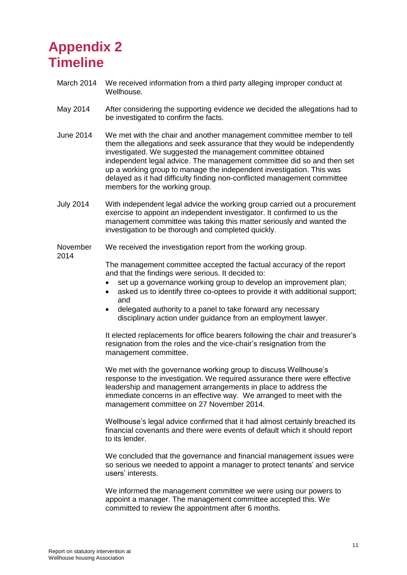### **Appendix 2 Timeline**

- March 2014 We received information from a third party alleging improper conduct at Wellhouse.
- May 2014 After considering the supporting evidence we decided the allegations had to be investigated to confirm the facts.
- June 2014 We met with the chair and another management committee member to tell them the allegations and seek assurance that they would be independently investigated. We suggested the management committee obtained independent legal advice. The management committee did so and then set up a working group to manage the independent investigation. This was delayed as it had difficulty finding non-conflicted management committee members for the working group.
- July 2014 With independent legal advice the working group carried out a procurement exercise to appoint an independent investigator. It confirmed to us the management committee was taking this matter seriously and wanted the investigation to be thorough and completed quickly.

#### November 2014 We received the investigation report from the working group.

The management committee accepted the factual accuracy of the report and that the findings were serious. It decided to:

- set up a governance working group to develop an improvement plan;
- asked us to identify three co-optees to provide it with additional support: and
- delegated authority to a panel to take forward any necessary disciplinary action under guidance from an employment lawyer.

It elected replacements for office bearers following the chair and treasurer's resignation from the roles and the vice-chair's resignation from the management committee.

We met with the governance working group to discuss Wellhouse's response to the investigation. We required assurance there were effective leadership and management arrangements in place to address the immediate concerns in an effective way. We arranged to meet with the management committee on 27 November 2014.

Wellhouse's legal advice confirmed that it had almost certainly breached its financial covenants and there were events of default which it should report to its lender.

We concluded that the governance and financial management issues were so serious we needed to appoint a manager to protect tenants' and service users' interests.

We informed the management committee we were using our powers to appoint a manager. The management committee accepted this. We committed to review the appointment after 6 months.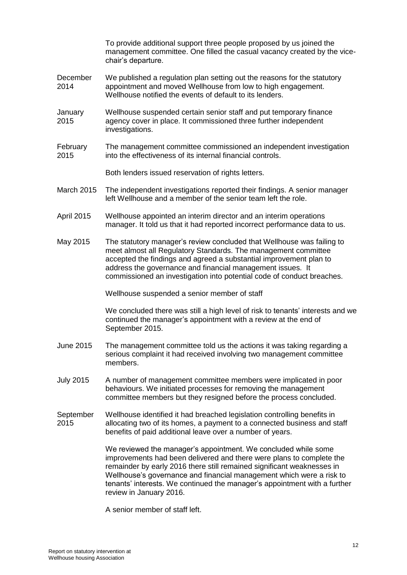|                   | To provide additional support three people proposed by us joined the<br>management committee. One filled the casual vacancy created by the vice-<br>chair's departure.                                                                                                                                                                                                                           |
|-------------------|--------------------------------------------------------------------------------------------------------------------------------------------------------------------------------------------------------------------------------------------------------------------------------------------------------------------------------------------------------------------------------------------------|
| December<br>2014  | We published a regulation plan setting out the reasons for the statutory<br>appointment and moved Wellhouse from low to high engagement.<br>Wellhouse notified the events of default to its lenders.                                                                                                                                                                                             |
| January<br>2015   | Wellhouse suspended certain senior staff and put temporary finance<br>agency cover in place. It commissioned three further independent<br>investigations.                                                                                                                                                                                                                                        |
| February<br>2015  | The management committee commissioned an independent investigation<br>into the effectiveness of its internal financial controls.                                                                                                                                                                                                                                                                 |
|                   | Both lenders issued reservation of rights letters.                                                                                                                                                                                                                                                                                                                                               |
| <b>March 2015</b> | The independent investigations reported their findings. A senior manager<br>left Wellhouse and a member of the senior team left the role.                                                                                                                                                                                                                                                        |
| <b>April 2015</b> | Wellhouse appointed an interim director and an interim operations<br>manager. It told us that it had reported incorrect performance data to us.                                                                                                                                                                                                                                                  |
| May 2015          | The statutory manager's review concluded that Wellhouse was failing to<br>meet almost all Regulatory Standards. The management committee<br>accepted the findings and agreed a substantial improvement plan to<br>address the governance and financial management issues. It<br>commissioned an investigation into potential code of conduct breaches.                                           |
|                   | Wellhouse suspended a senior member of staff                                                                                                                                                                                                                                                                                                                                                     |
|                   | We concluded there was still a high level of risk to tenants' interests and we<br>continued the manager's appointment with a review at the end of<br>September 2015.                                                                                                                                                                                                                             |
| June 2015         | The management committee told us the actions it was taking regarding a<br>serious complaint it had received involving two management committee<br>members.                                                                                                                                                                                                                                       |
| <b>July 2015</b>  | A number of management committee members were implicated in poor<br>behaviours. We initiated processes for removing the management<br>committee members but they resigned before the process concluded.                                                                                                                                                                                          |
| September<br>2015 | Wellhouse identified it had breached legislation controlling benefits in<br>allocating two of its homes, a payment to a connected business and staff<br>benefits of paid additional leave over a number of years.                                                                                                                                                                                |
|                   | We reviewed the manager's appointment. We concluded while some<br>improvements had been delivered and there were plans to complete the<br>remainder by early 2016 there still remained significant weaknesses in<br>Wellhouse's governance and financial management which were a risk to<br>tenants' interests. We continued the manager's appointment with a further<br>review in January 2016. |
|                   |                                                                                                                                                                                                                                                                                                                                                                                                  |

A senior member of staff left.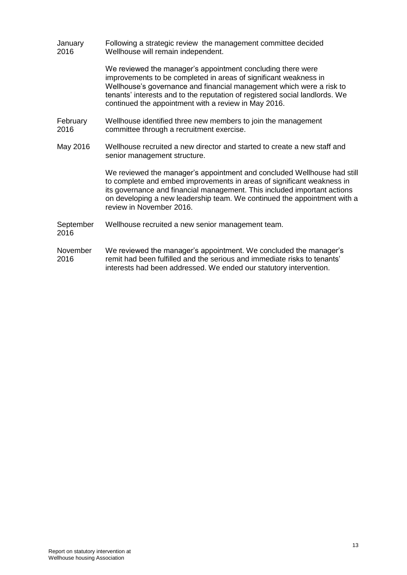**January** 2016 Following a strategic review the management committee decided Wellhouse will remain independent.

> We reviewed the manager's appointment concluding there were improvements to be completed in areas of significant weakness in Wellhouse's governance and financial management which were a risk to tenants' interests and to the reputation of registered social landlords. We continued the appointment with a review in May 2016.

- February 2016 Wellhouse identified three new members to join the management committee through a recruitment exercise.
- May 2016 Wellhouse recruited a new director and started to create a new staff and senior management structure.

We reviewed the manager's appointment and concluded Wellhouse had still to complete and embed improvements in areas of significant weakness in its governance and financial management. This included important actions on developing a new leadership team. We continued the appointment with a review in November 2016.

- September 2016 Wellhouse recruited a new senior management team.
- November 2016 We reviewed the manager's appointment. We concluded the manager's remit had been fulfilled and the serious and immediate risks to tenants' interests had been addressed. We ended our statutory intervention.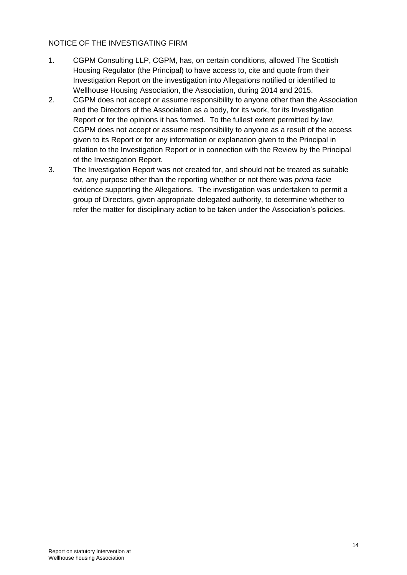### NOTICE OF THE INVESTIGATING FIRM

- 1. CGPM Consulting LLP, CGPM, has, on certain conditions, allowed The Scottish Housing Regulator (the Principal) to have access to, cite and quote from their Investigation Report on the investigation into Allegations notified or identified to Wellhouse Housing Association, the Association, during 2014 and 2015.
- 2. CGPM does not accept or assume responsibility to anyone other than the Association and the Directors of the Association as a body, for its work, for its Investigation Report or for the opinions it has formed. To the fullest extent permitted by law, CGPM does not accept or assume responsibility to anyone as a result of the access given to its Report or for any information or explanation given to the Principal in relation to the Investigation Report or in connection with the Review by the Principal of the Investigation Report.
- 3. The Investigation Report was not created for, and should not be treated as suitable for, any purpose other than the reporting whether or not there was *prima facie*  evidence supporting the Allegations. The investigation was undertaken to permit a group of Directors, given appropriate delegated authority, to determine whether to refer the matter for disciplinary action to be taken under the Association's policies.